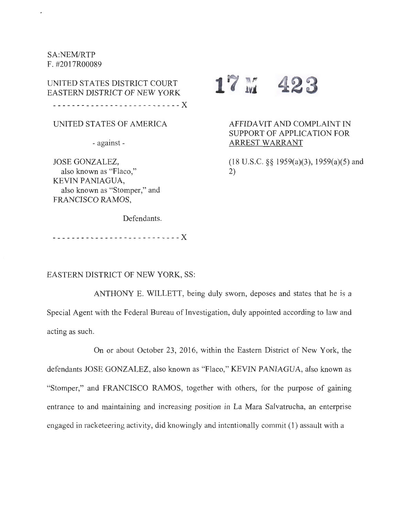SA:NEM/RTP F. #2017R00089

 $\mathbf{r}$ 

UNITED STATES DISTRICT COURT  $17$  M 423 EASTERN DISTRICT OF NEW YORK ---------------------------X

UNITED STATES OF AMERICA

- against -

JOSE GONZALEZ, also known as "Flaco," KEVIN PANIAGUA, also known as "Stomper," and FRANCISCO RAMOS,

AFFIDAVIT AND COMPLAINT IN SUPPORT OF APPLICATION FOR

> (18 U.S.C. §§ 1959(a)(3), 1959(a)(5) and 2)

ARREST WARRANT

Defendants.

---------------------------X

EASTERN DISTRICT OF NEW YORK, SS:

ANTHONY E. WILLETT, being duly sworn, deposes and states that he is a Special Agent with the Federal Bureau of Investigation, duly appointed according to law and acting as such.

On or about October 23, 2016, within the Eastern District of New York, the defendants JOSE GONZALEZ, also known as "Flaco," KEVIN PANIAGUA, also known as "Stomper," and FRANCISCO RAMOS, together with others, for the purpose of gaining entrance to and maintaining and increasing position in La Mara Salvatrucha, an enterprise engaged in racketeering activity, did knowingly and intentionally commit (1) assault with a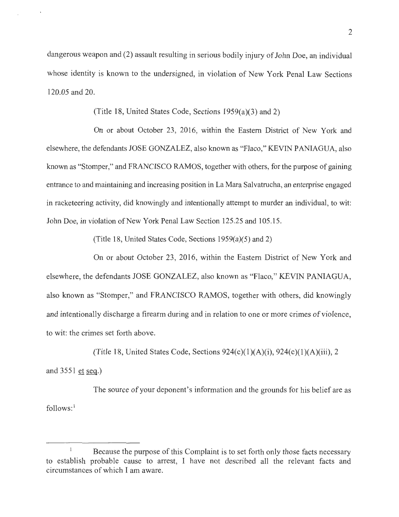dangerous weapon and (2) assault resulting in serious bodily injury of John Doe, an individual whose identity is known to the undersigned, in violation of New York Penal Law Sections 120.05 and 20.

(Title 18, United States Code, Sections 1959(a)(3) and 2)

On or about October 23, 2016, within the Eastern District of New York and elsewhere, the defendants JOSE GONZALEZ, also known as "Flaco," KEVIN PANIAGUA, also known as "Stomper," and FRANCISCO RAMOS, together with others, for the purpose of gaining entrance to and maintaining and increasing position in La Mara Salvatrucha, an enterprise engaged in racketeering activity, did knowingly and intentionally attempt to murder an individual, to wit: John Doe, in violation of New York Penal Law Section 125.25 and 105.15.

(Title 18, United States Code, Sections 1959(a)(5) and 2)

On or about October 23, 2016, within the Eastern District of New York and elsewhere, the defendants JOSE GONZALEZ, also known as "Flaco," KEVIN PANIAGUA, also known as "Stomper," and FRANCISCO RAMOS, together with others, did knowingly and intentionally discharge a firearm during and in relation to one or more crimes of violence, to wit: the crimes set forth above.

(Title 18, United States Code, Sections  $924(c)(1)(A)(i)$ ,  $924(c)(1)(A)(iii)$ , 2 and 3551 et seq.)

The source of your deponent's information and the grounds for his belief are as follows:<sup>1</sup>

 $\mathbf{1}$ Because the purpose of this Complaint is to set forth only those facts necessary to establish probable cause to arrest, I have not described all the relevant facts and circumstances of which I am aware.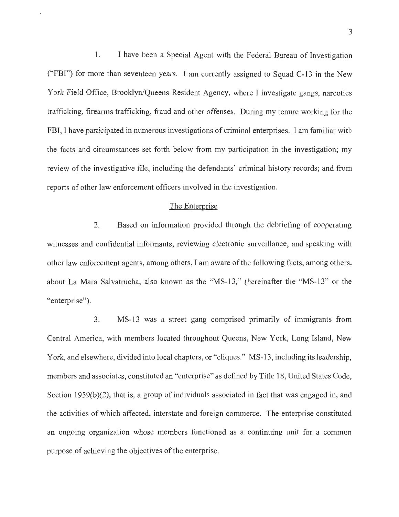1. I have been a Special Agent with the Federal Bureau of Investigation ("FBI") for more than seventeen years. I am currently assigned to Squad C-13 in the New York Field Office, Brooklyn/Queens Resident Agency, where I investigate gangs, narcotics trafficking, firearms trafficking, fraud and other offenses. During my tenure working for the FBI, I have participated in numerous investigations of criminal enterprises. I am familiar with the facts and circumstances set forth below from my participation in the investigation; my review of the investigative file, including the defendants' criminal history records; and from reports of other law enforcement officers involved in the investigation.

# The Enterprise

2. Based on information provided through the debriefing of cooperating witnesses and confidential informants, reviewing electronic surveillance, and speaking with other law enforcement agents, among others, I am aware of the following facts, among others, about La Mara Salvatrucha, also known as the "MS-13," (hereinafter the "MS-13" or the "enterprise").

3. MS-13 was a street gang comprised primarily of immigrants from Central America, with members located throughout Queens, New York, Long Island, New York, and elsewhere, divided into local chapters, or "cliques." MS-13, including its leadership, members and associates, constituted an "enterprise" as defined by Title 18, United States Code, Section 1959(b) $(2)$ , that is, a group of individuals associated in fact that was engaged in, and the activities of which affected, interstate and foreign commerce. The enterprise constituted an ongoing organization whose members functioned as a continuing unit for a common purpose of achieving the objectives of the enterprise.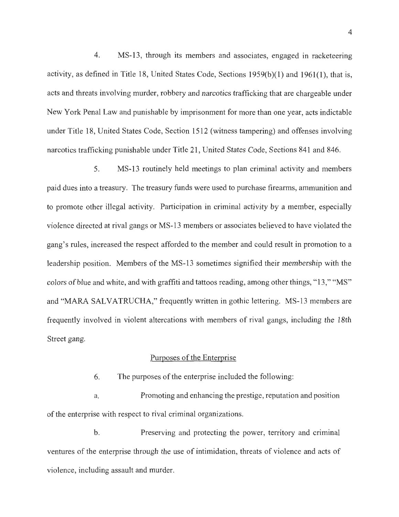4. MS-13, through its members and associates, engaged in racketeering activity, as defined in Title 18, United States Code, Sections 1959(b)(l) and 1961(1), that is, acts and threats involving murder, robbery and narcotics trafficking that are chargeable under New York Penal Law and punishable by imprisonment for more than one year, acts indictable under Title 18, United States Code, Section 1512 (witness tampering) and offenses involving narcotics trafficking punishable under Title 21, United States Code, Sections 841 and 846.

5. MS-13 routinely held meetings to plan criminal activity and members paid dues into a treasury. The treasury funds were used to purchase firearms, ammunition and to promote other illegal activity. Participation in criminal activity by a member, especially violence directed at rival gangs or MS-13 members or associates believed to have violated the gang's rules, increased the respect afforded to the member and could result in promotion to a leadership position. Members of the MS-13 sometimes signified their membership with the colors of blue and white, and with graffiti and tattoos reading, among other things, "13," "MS" and "MARA SALVATRUCHA," frequently written in gothic lettering. MS-13 members are frequently involved in violent altercations with members of rival gangs, including the 18th Street gang.

#### Purposes of the Enterprise

6. The purposes of the enterprise included the following:

a. Promoting and enhancing the prestige, reputation and position of the enterprise with respect to rival criminal organizations.

b. Preserving and protecting the power, territory and criminal ventures of the enterprise through the use of intimidation, threats of violence and acts of violence, including assault and murder.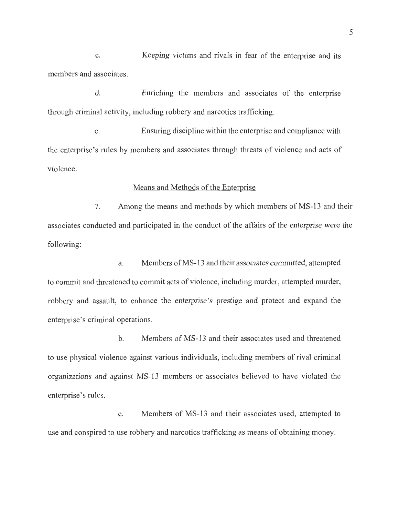C. Keeping victims and rivals in fear of the enterprise and its members and associates.

d. Enriching the members and associates of the enterprise through criminal activity, including robbery and narcotics trafficking.

e. Ensuring discipline within the enterprise and compliance with the enterprise's rules by members and associates through threats of violence and acts of violence.

# Means and Methods of the Enterprise

7. Among the means and methods by which members of MS-13 and their associates conducted and participated in the conduct of the affairs of the enterprise were the following:

a. Members ofMS-13 and their associates committed, attempted to commit and threatened to commit acts of violence, including murder, attempted murder, robbery and assault, to enhance the enterprise's prestige and protect and expand the enterprise's criminal operations.

b. Members of MS-13 and their associates used and threatened to use physical violence against various individuals, including members of rival criminal organizations and against MS-13 members or associates believed to have violated the enterprise's rules.

c. Members of MS-13 and their associates used, attempted to use and conspired to use robbery and narcotics trafficking as means of obtaining money.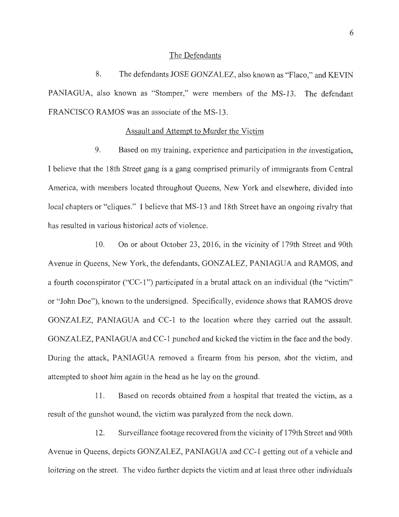#### The Defendants

8. The defendants JOSE GONZALEZ, also known as "Flaco," and KEVIN PANIAGUA, also known as "Stomper," were members of the MS-13. The defendant FRANCISCO RAMOS was an associate of the MS-13.

### Assault and Attempt to Murder the Victim

9. Based on my training, experience and participation in the investigation, I believe that the 18th Street gang is a gang comprised primarily of immigrants from Central America, with members located throughout Queens, New York and elsewhere, divided into local chapters or "cliques." I believe that MS-13 and 18th Street have an ongoing rivalry that has resulted in various historical acts of violence.

10. On or about October 23, 2016, in the vicinity of 179th Street and 90th A venue in Queens, New York, the defendants, GONZALEZ, PANIAGUA and RAMOS, and a fourth coconspirator ("CC-1") participated in a brutal attack on an individual (the "victim" or "John Doe"), known to the undersigned. Specifically, evidence shows that RAMOS drove GONZALEZ, PANIAGUA and CC-1 to the location where they carried out the assault. GONZALEZ, PANIAGUA and CC-1 punched and kicked the victim in the face and the body. During the attack, PANIAGUA removed a firearm from his person, shot the victim, and attempted to shoot him again in the head as he lay on the ground.

11. Based on records obtained from a hospital that treated the victim, as a result of the gunshot wound, the victim was paralyzed from the neck down.

12. Surveillance footage recovered from the vicinity of 179th Street and 90th Avenue in Queens, depicts GONZALEZ, PANIAGUA and CC-1 getting out of a vehicle and loitering on the street. The video further depicts the victim and at least three other individuals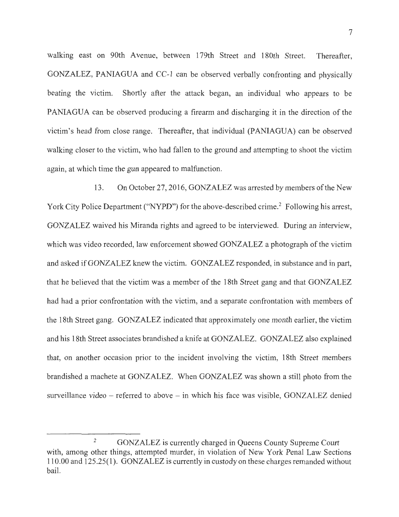walking east on 90th Avenue, between 179th Street and 180th Street. Thereafter, GONZALEZ, PANIAGUA and CC-1 can be observed verbally confronting and physically beating the victim. Shortly after the attack began, an individual who appears to be PANIAGUA can be observed producing a firearm and discharging it in the direction of the victim's head from close range. Thereafter, that individual (PANIAGUA) can be observed walking closer to the victim, who had fallen to the ground and attempting to shoot the victim again, at which time the gun appeared to malfunction.

13. On October 27, 2016, GONZALEZ was arrested by members of the New York City Police Department ("NYPD") for the above-described crime.<sup>2</sup> Following his arrest, GONZALEZ waived his Miranda rights and agreed to be interviewed. During an interview, which was video recorded, law enforcement showed GONZALEZ a photograph of the victim and asked if GONZALEZ knew the victim. GONZALEZ responded, in substance and in part, that he believed that the victim was a member of the 18th Street gang and that GONZALEZ had had a prior confrontation with the victim, and a separate confrontation with members of the 18th Street gang. GONZALEZ indicated that approximately one month earlier, the victim and his 18th Street associates brandished a knife at GONZALEZ. GONZALEZ also explained that, on another occasion prior to the incident involving the victim, 18th Street members brandished a machete at GONZALEZ. When GONZALEZ was shown a still photo from the surveillance video  $-$  referred to above  $-$  in which his face was visible, GONZALEZ denied

<sup>2</sup> GONZALEZ is currently charged in Queens County Supreme Court with, among other things, attempted murder, in violation of New York Penal Law Sections 110.00 and 125.25(1). GONZALEZ is currently in custody on these charges remanded without bail.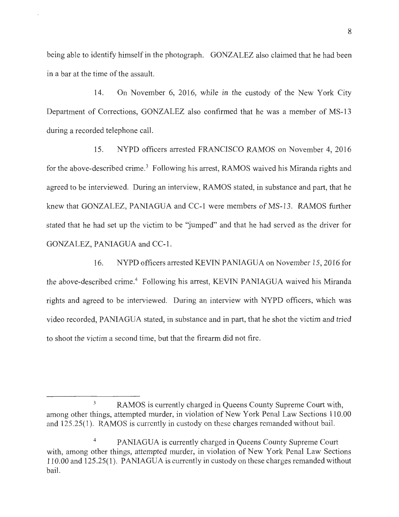being able to identify himself in the photograph. GONZALEZ also claimed that he had been in a bar at the time of the assault.

14. On November 6, 2016, while in the custody of the New York City Department of Corrections, GONZALEZ also confirmed that he was a member of MS-13 during a recorded telephone call.

15. NYPD officers arrested FRANCISCO RAMOS on November 4, 2016 for the above-described crime.<sup>3</sup> Following his arrest, RAMOS waived his Miranda rights and agreed to be interviewed. During an interview, RAMOS stated, in substance and part, that he knew that GONZALEZ, PANIAGUA and CC-1 were members of MS-13. RAMOS further stated that he had set up the victim to be 'jumped" and that he had served as the driver for GONZALEZ, PANIAGUA and CC-1.

16. NYPD officers arrested KEVIN PANIAGUA on November 15, 2016 for the above-described crime.<sup>4</sup> Following his arrest, KEVIN PANIAGUA waived his Miranda rights and agreed to be interviewed. During an interview with NYPD officers, which was video recorded, PANIAGUA stated, in substance and in part, that he shot the victim and tried to shoot the victim a second time, but that the firearm did not fire.

<sup>&</sup>lt;sup>3</sup> RAMOS is currently charged in Queens County Supreme Court with, among other things, attempted murder, in violation of New York Penal Law Sections 110.00 and 125.25(1). RAMOS is currently in custody on these charges remanded without bail.

<sup>4</sup>PANIAGUA is currently charged in Queens County Supreme Court with, among other things, attempted murder, in violation of New York Penal Law Sections 110.00 and 125.25(1). PANIAGUA is currently in custody on these charges remanded without bail.